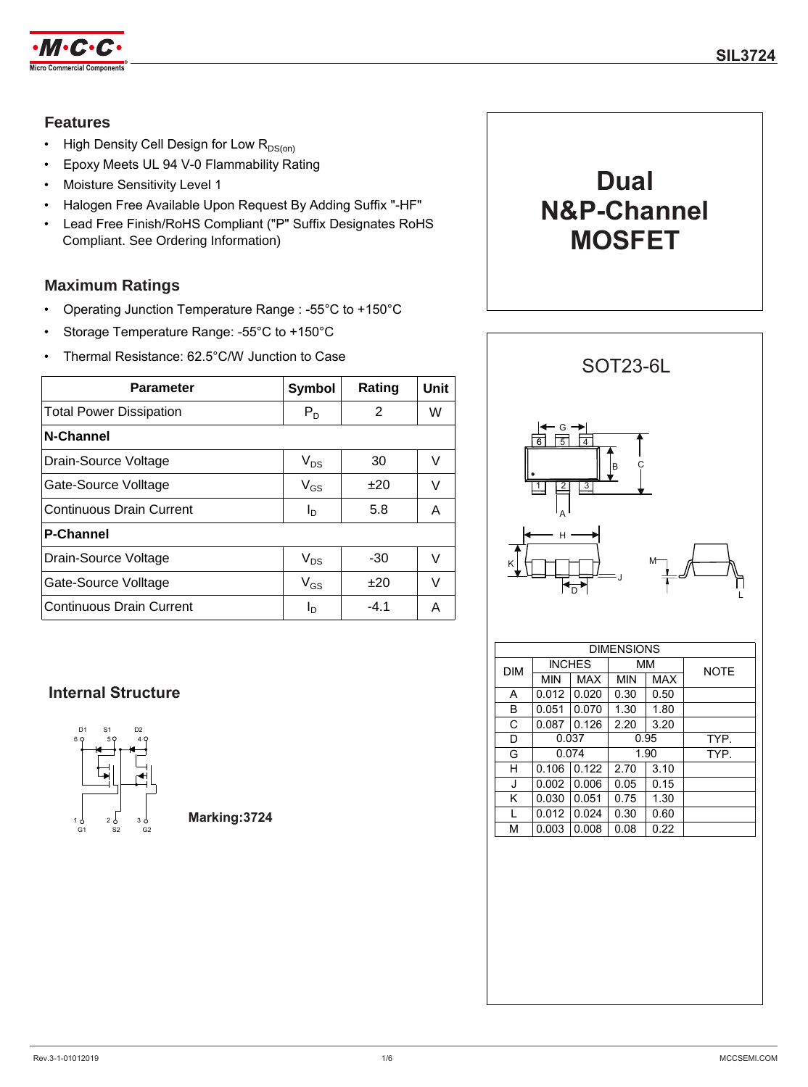

## **Features**

- High Density Cell Design for Low  $R_{DS(on)}$
- Epoxy Meets UL 94 V-0 Flammability Rating
- Moisture Sensitivity Level 1
- Halogen Free Available Upon Request By Adding Suffix "-HF"
- Lead Free Finish/RoHS Compliant ("P" Suffix Designates RoHS Compliant. See Ordering Information)

## **Maximum Ratings**

- Operating Junction Temperature Range : -55°C to +150°C
- Storage Temperature Range: -55°C to +150°C
- Thermal Resistance: 62.5°C/W Junction to Case

| <b>Parameter</b>                | <b>Symbol</b> | Rating | Unit |
|---------------------------------|---------------|--------|------|
| <b>Total Power Dissipation</b>  | $P_D$         | 2      | W    |
| <b>N-Channel</b>                |               |        |      |
| Drain-Source Voltage            | $V_{DS}$      | 30     | V    |
| Gate-Source Volltage            | $V_{GS}$      | $+20$  | V    |
| <b>Continuous Drain Current</b> | Ιņ            | 5.8    | A    |
| <b>P-Channel</b>                |               |        |      |
| Drain-Source Voltage            | $V_{DS}$      | -30    | V    |
| Gate-Source Volltage            | $V_{GS}$      | $+20$  | V    |
| <b>Continuous Drain Current</b> | Ιŋ            | $-4.1$ | А    |

## **Internal Structure**



**Marking:3724**





| <b>DIMENSIONS</b> |            |               |      |            |             |  |
|-------------------|------------|---------------|------|------------|-------------|--|
| <b>DIM</b>        |            | <b>INCHES</b> | MМ   |            | <b>NOTE</b> |  |
|                   | <b>MIN</b> | <b>MAX</b>    | MIN  | <b>MAX</b> |             |  |
| A                 | 0.012      | 0.020         | 0.30 | 0.50       |             |  |
| B                 | 0.051      | 0.070         | 1.30 | 1.80       |             |  |
| C                 | 0.087      | 0.126         | 2.20 | 3.20       |             |  |
| D                 | 0.037      |               | 0.95 |            | TYP.        |  |
| G                 | 0.074      |               | 1.90 |            | TYP.        |  |
| н                 | 0.106      | 0.122         | 2.70 | 3.10       |             |  |
| J                 | 0.002      | 0.006         | 0.05 | 0.15       |             |  |
| K                 | 0.030      | 0.051         | 0.75 | 1.30       |             |  |
| L                 | 0.012      | 0.024         | 0.30 | 0.60       |             |  |
| М                 | 0.003      | 0.008         | 0.08 | 0.22       |             |  |
|                   |            |               |      |            |             |  |

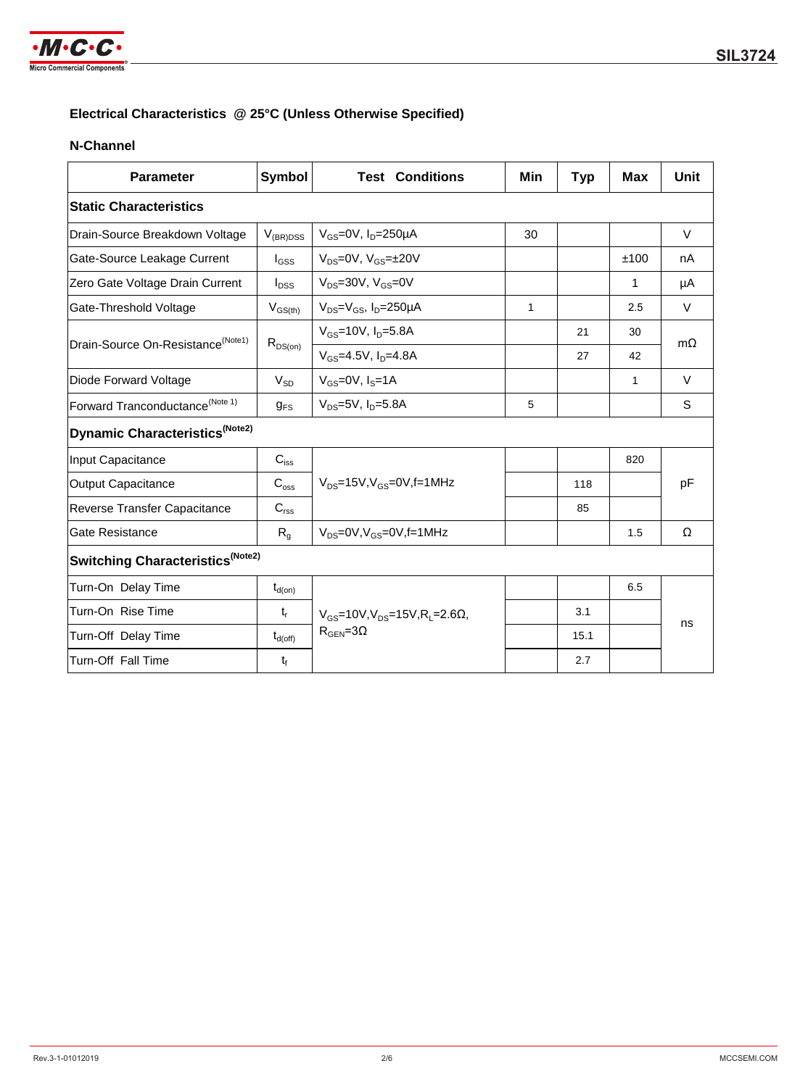

## **Electrical Characteristics @ 25°C (Unless Otherwise Specified)**

### **N-Channel**

| <b>Parameter</b>                              | <b>Symbol</b>       | <b>Test Conditions</b>                                        | Min | <b>Typ</b> | <b>Max</b>   | Unit      |  |  |
|-----------------------------------------------|---------------------|---------------------------------------------------------------|-----|------------|--------------|-----------|--|--|
| <b>Static Characteristics</b>                 |                     |                                                               |     |            |              |           |  |  |
| Drain-Source Breakdown Voltage                | $V_{(BR)DSS}$       | $V_{GS}$ =0V, $I_D$ =250µA                                    | 30  |            |              | $\vee$    |  |  |
| Gate-Source Leakage Current                   | $I_{GSS}$           | $V_{DS}=0V$ , $V_{GS}=±20V$                                   |     |            | ±100         | nA        |  |  |
| Zero Gate Voltage Drain Current               | $I_{DSS}$           | $V_{DS}$ =30V, $V_{GS}$ =0V                                   |     |            | 1            | μA        |  |  |
| Gate-Threshold Voltage                        | $V_{GS(th)}$        | $V_{DS}=V_{GS}$ , $I_D=250\mu A$                              | 1   |            | 2.5          | $\vee$    |  |  |
| Drain-Source On-Resistance <sup>(Note1)</sup> |                     | $V_{GS}$ =10V, $I_{D}$ =5.8A                                  |     | 21         | 30           | $m\Omega$ |  |  |
|                                               | $R_{DS(on)}$        | $V_{GS} = 4.5V$ , $I_{D} = 4.8A$                              |     | 27         | 42           |           |  |  |
| Diode Forward Voltage                         | $V_{SD}$            | $V_{GS}$ =0V, $I_S$ =1A                                       |     |            | $\mathbf{1}$ | $\vee$    |  |  |
| Forward Tranconductance <sup>(Note 1)</sup>   | $g_{FS}$            | $V_{DS} = 5V$ , $I_{D} = 5.8A$                                | 5   |            |              | S         |  |  |
| Dynamic Characteristics <sup>(Note2)</sup>    |                     |                                                               |     |            |              |           |  |  |
| Input Capacitance                             | $C_{iss}$           |                                                               |     |            | 820          |           |  |  |
| Output Capacitance                            | $C_{\rm oss}$       | $V_{DS}$ =15V, $V_{GS}$ =0V, f=1MHz                           |     | 118        |              | pF        |  |  |
| <b>Reverse Transfer Capacitance</b>           | $C_{\text{rss}}$    |                                                               |     | 85         |              |           |  |  |
| <b>Gate Resistance</b>                        | $R_{q}$             | $V_{DS}$ =0V, $V_{GS}$ =0V,f=1MHz                             |     |            | 1.5          | Ω         |  |  |
| Switching Characteristics <sup>(Note2)</sup>  |                     |                                                               |     |            |              |           |  |  |
| Turn-On Delay Time                            | $t_{d(on)}$         |                                                               |     |            | 6.5          | ns        |  |  |
| Turn-On Rise Time                             | $t_{r}$             | $V_{GS}$ =10V, $V_{DS}$ =15V, R <sub>1</sub> = 2.6 $\Omega$ , |     | 3.1        |              |           |  |  |
| Turn-Off Delay Time                           | $t_{d(\text{off})}$ | $R_{\text{GEN}} = 3\Omega$                                    |     | 15.1       |              |           |  |  |
| Turn-Off Fall Time                            | $t_f$               |                                                               |     | 2.7        |              |           |  |  |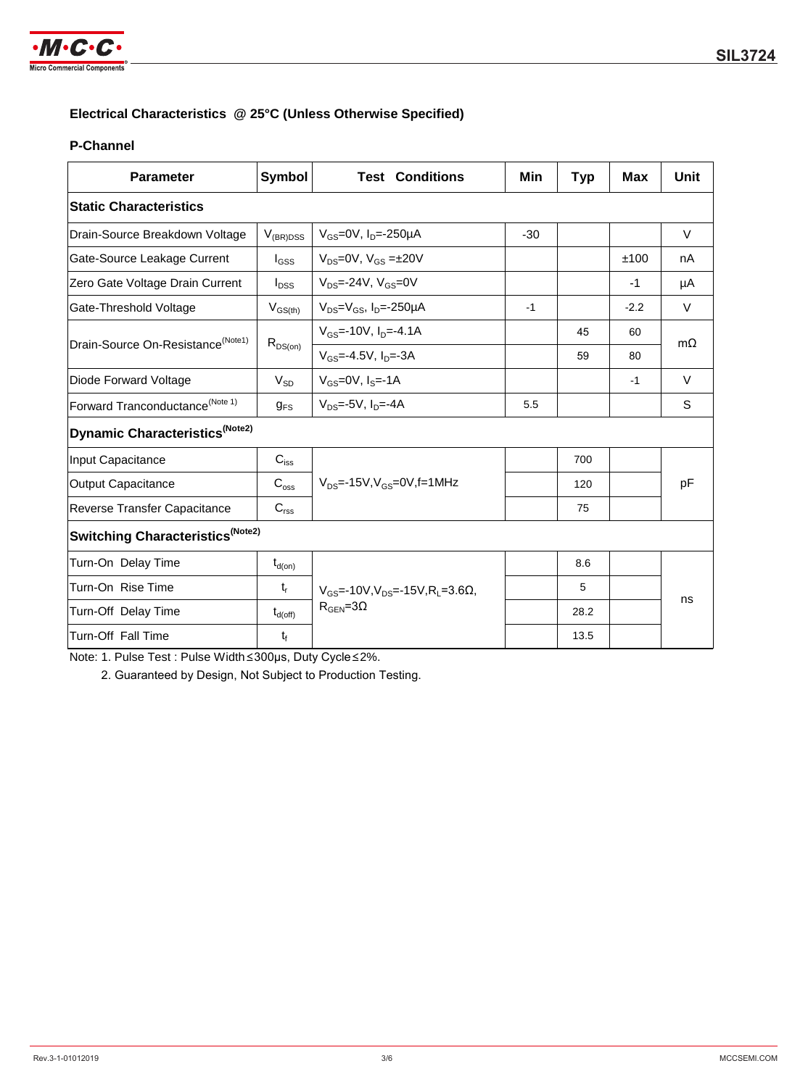

### **Electrical Characteristics @ 25°C (Unless Otherwise Specified)**

#### **P-Channel**

| <b>Parameter</b>                              | <b>Symbol</b>       | <b>Test Conditions</b>                                        | Min   | <b>Typ</b> | Max    | Unit      |  |  |
|-----------------------------------------------|---------------------|---------------------------------------------------------------|-------|------------|--------|-----------|--|--|
| <b>Static Characteristics</b>                 |                     |                                                               |       |            |        |           |  |  |
| Drain-Source Breakdown Voltage                | $V_{(BR)DSS}$       | $V_{GS}$ =0V, $I_D$ =-250µA                                   | $-30$ |            |        | V         |  |  |
| Gate-Source Leakage Current                   | $I_{GSS}$           | $V_{DS}=0V$ , $V_{GS}=\pm 20V$                                |       |            | ±100   | nA        |  |  |
| Zero Gate Voltage Drain Current               | $I_{DSS}$           | $V_{DS} = -24V$ , $V_{GS} = 0V$                               |       |            | $-1$   | μA        |  |  |
| Gate-Threshold Voltage                        | $V_{GS(th)}$        | $V_{DS}=V_{GS}$ , $I_{D}=-250\mu A$                           | $-1$  |            | $-2.2$ | $\vee$    |  |  |
| Drain-Source On-Resistance <sup>(Note1)</sup> | $R_{DS(on)}$        | $V_{GS}$ =-10V, $I_{D}$ =-4.1A                                |       | 45         | 60     | $m\Omega$ |  |  |
|                                               |                     | $V_{GS} = -4.5V$ , $I_{D} = -3A$                              |       | 59         | 80     |           |  |  |
| Diode Forward Voltage                         | $V_{SD}$            | $V_{GS} = 0V$ , $I_S = -1A$                                   |       |            | $-1$   | $\vee$    |  |  |
| Forward Tranconductance <sup>(Note 1)</sup>   | $g_{FS}$            | $V_{DS} = -5V$ , $I_{D} = -4A$                                | 5.5   |            |        | S         |  |  |
| Dynamic Characteristics <sup>(Note2)</sup>    |                     |                                                               |       |            |        |           |  |  |
| Input Capacitance                             | $C_{iss}$           |                                                               |       | 700        |        | pF        |  |  |
| Output Capacitance                            | $C_{\rm oss}$       | $V_{DS}$ =-15V, $V_{GS}$ =0V, f=1MHz                          |       | 120        |        |           |  |  |
| Reverse Transfer Capacitance                  | $C_{\text{rss}}$    |                                                               |       | 75         |        |           |  |  |
| Switching Characteristics <sup>(Note2)</sup>  |                     |                                                               |       |            |        |           |  |  |
| Turn-On Delay Time                            | $t_{d(on)}$         |                                                               |       | 8.6        |        | ns        |  |  |
| Turn-On Rise Time                             | $t_{\sf r}$         | $V_{\text{GS}} = -10V, V_{\text{DS}} = -15V, R_1 = 3.6\Omega$ |       | 5          |        |           |  |  |
| Turn-Off Delay Time                           | $t_{d(\text{off})}$ | $R_{\text{GEN}} = 3\Omega$                                    |       | 28.2       |        |           |  |  |
| Turn-Off Fall Time                            | $t_{\rm f}$         |                                                               |       | 13.5       |        |           |  |  |

Note: 1. Pulse Test : Pulse Width≤300μs, Duty Cycle≤2%.

2. Guaranteed by Design, Not Subject to Production Testing.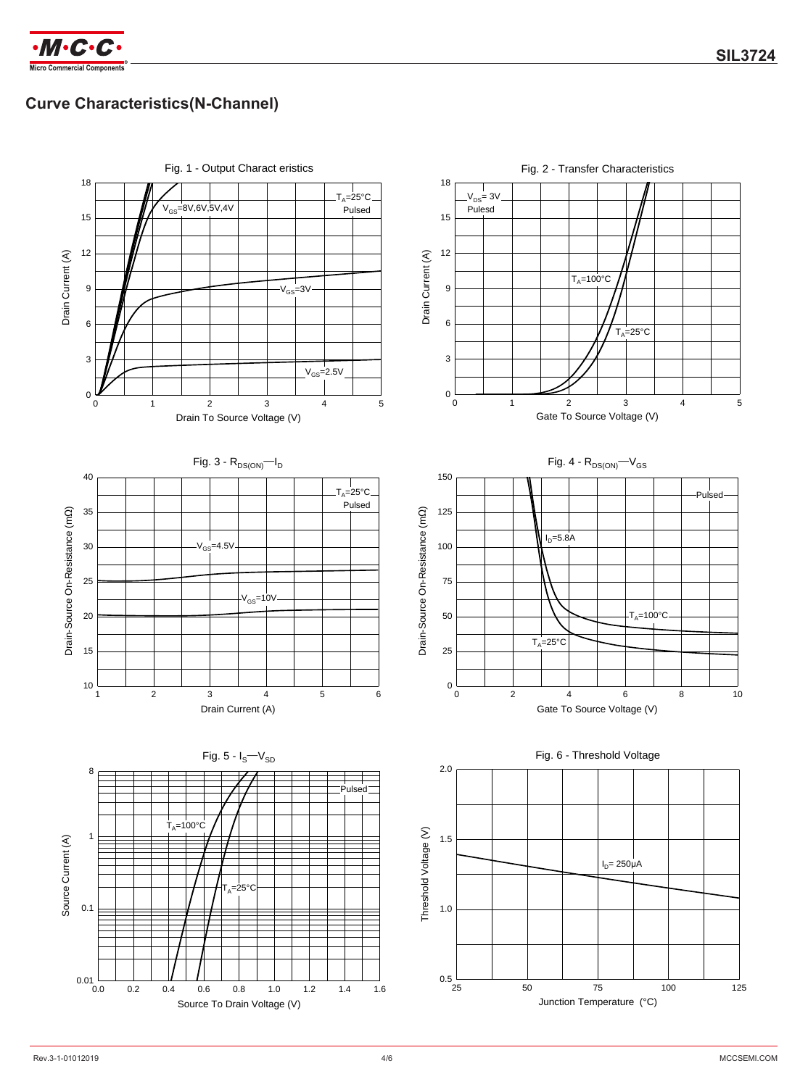

# **Curve Characteristics(N-Channel)**

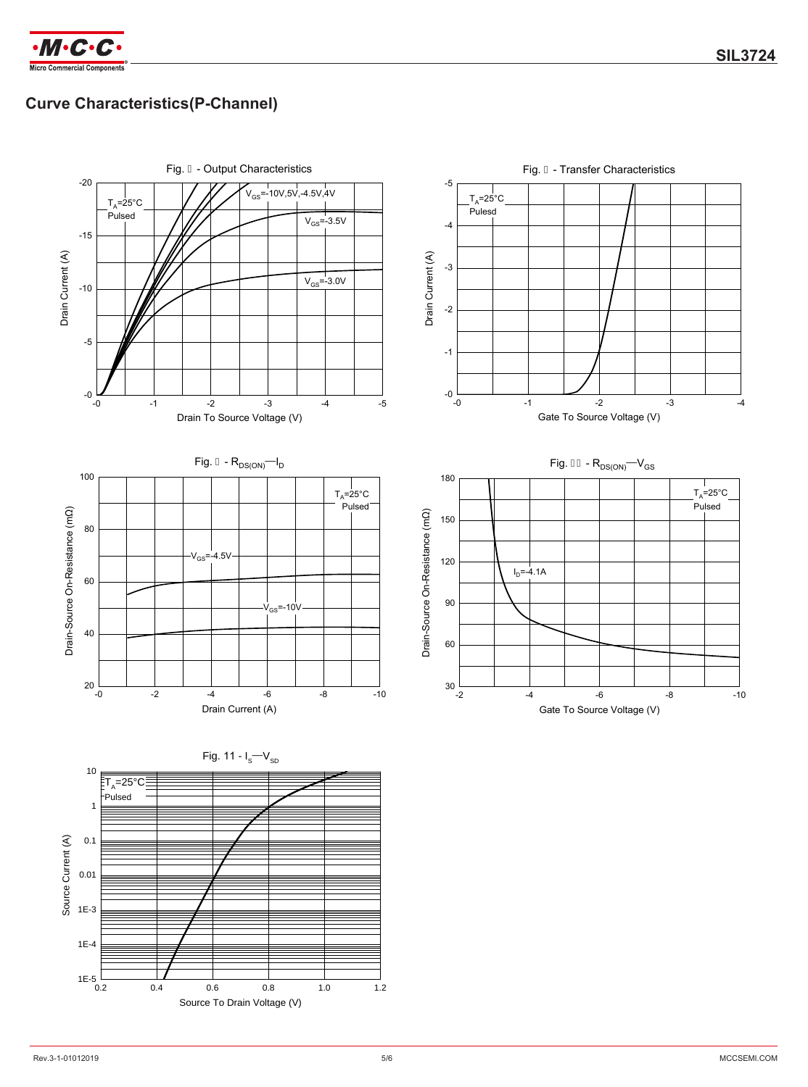

# **Curve Characteristics(P-Channel)**